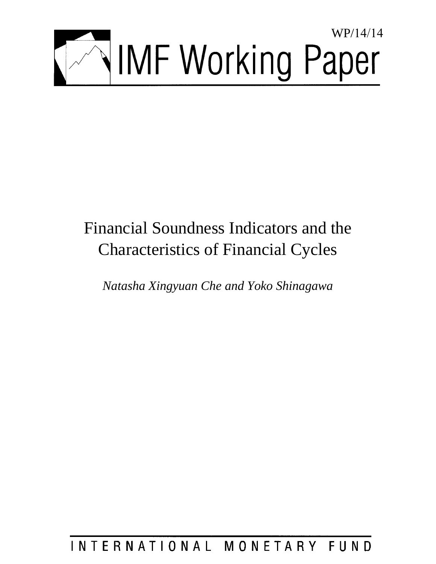

# Financial Soundness Indicators and the Characteristics of Financial Cycles

*Natasha Xingyuan Che and Yoko Shinagawa* 

# INTERNATIONAL MONETARY FUND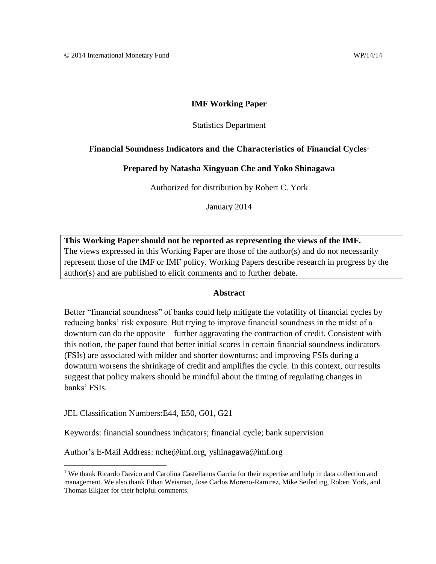#### **IMF Working Paper**

#### Statistics Department

#### **Financial Soundness Indicators and the Characteristics of Financial Cycles**<sup>1</sup>

#### **Prepared by Natasha Xingyuan Che and Yoko Shinagawa**

Authorized for distribution by Robert C. York

January 2014

**This Working Paper should not be reported as representing the views of the IMF.** The views expressed in this Working Paper are those of the author(s) and do not necessarily represent those of the IMF or IMF policy. Working Papers describe research in progress by the author(s) and are published to elicit comments and to further debate.

#### **Abstract**

Better "financial soundness" of banks could help mitigate the volatility of financial cycles by reducing banks' risk exposure. But trying to improve financial soundness in the midst of a downturn can do the opposite—further aggravating the contraction of credit. Consistent with this notion, the paper found that better initial scores in certain financial soundness indicators (FSIs) are associated with milder and shorter downturns; and improving FSIs during a downturn worsens the shrinkage of credit and amplifies the cycle. In this context, our results suggest that policy makers should be mindful about the timing of regulating changes in banks' FSIs.

JEL Classification Numbers:E44, E50, G01, G21

Keywords: financial soundness indicators; financial cycle; bank supervision

Author's E-Mail Address: nche@imf.org, yshinagawa@imf.org

<sup>&</sup>lt;sup>1</sup> We thank Ricardo Davico and Carolina Castellanos Garcia for their expertise and help in data collection and management. We also thank Ethan Weisman, Jose Carlos Moreno-Ramirez, Mike Seiferling, Robert York, and Thomas Elkjaer for their helpful comments.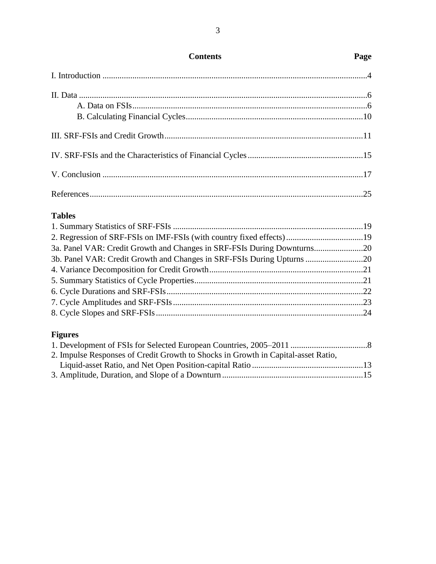## **Contents Page**

# **Tables**

| 2. Regression of SRF-FSIs on IMF-FSIs (with country fixed effects)19    |  |
|-------------------------------------------------------------------------|--|
| 3a. Panel VAR: Credit Growth and Changes in SRF-FSIs During Downturns20 |  |
| 3b. Panel VAR: Credit Growth and Changes in SRF-FSIs During Upturns 20  |  |
|                                                                         |  |
|                                                                         |  |
|                                                                         |  |
|                                                                         |  |
|                                                                         |  |
|                                                                         |  |

# **Figures**

| 2. Impulse Responses of Credit Growth to Shocks in Growth in Capital-asset Ratio, |  |
|-----------------------------------------------------------------------------------|--|
|                                                                                   |  |
|                                                                                   |  |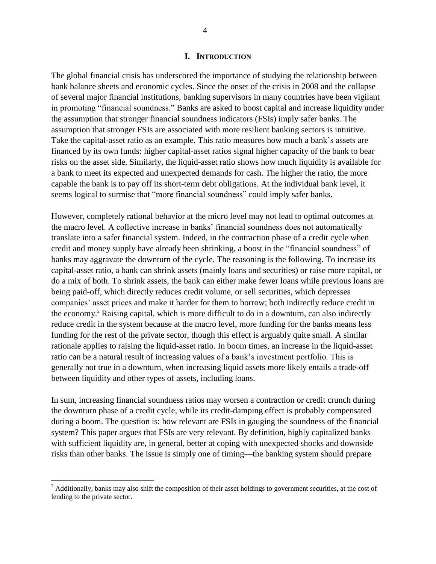The global financial crisis has underscored the importance of studying the relationship between bank balance sheets and economic cycles. Since the onset of the crisis in 2008 and the collapse of several major financial institutions, banking supervisors in many countries have been vigilant in promoting "financial soundness." Banks are asked to boost capital and increase liquidity under the assumption that stronger financial soundness indicators (FSIs) imply safer banks. The assumption that stronger FSIs are associated with more resilient banking sectors is intuitive. Take the capital-asset ratio as an example. This ratio measures how much a bank's assets are financed by its own funds: higher capital-asset ratios signal higher capacity of the bank to bear risks on the asset side. Similarly, the liquid-asset ratio shows how much liquidity is available for a bank to meet its expected and unexpected demands for cash. The higher the ratio, the more capable the bank is to pay off its short-term debt obligations. At the individual bank level, it seems logical to surmise that "more financial soundness" could imply safer banks.

However, completely rational behavior at the micro level may not lead to optimal outcomes at the macro level. A collective increase in banks' financial soundness does not automatically translate into a safer financial system. Indeed, in the contraction phase of a credit cycle when credit and money supply have already been shrinking, a boost in the "financial soundness" of banks may aggravate the downturn of the cycle. The reasoning is the following. To increase its capital-asset ratio, a bank can shrink assets (mainly loans and securities) or raise more capital, or do a mix of both. To shrink assets, the bank can either make fewer loans while previous loans are being paid-off, which directly reduces credit volume, or sell securities, which depresses companies' asset prices and make it harder for them to borrow; both indirectly reduce credit in the economy.<sup>2</sup> Raising capital, which is more difficult to do in a downturn, can also indirectly reduce credit in the system because at the macro level, more funding for the banks means less funding for the rest of the private sector, though this effect is arguably quite small. A similar rationale applies to raising the liquid-asset ratio. In boom times, an increase in the liquid-asset ratio can be a natural result of increasing values of a bank's investment portfolio. This is generally not true in a downturn, when increasing liquid assets more likely entails a trade-off between liquidity and other types of assets, including loans.

In sum, increasing financial soundness ratios may worsen a contraction or credit crunch during the downturn phase of a credit cycle, while its credit-damping effect is probably compensated during a boom. The question is: how relevant are FSIs in gauging the soundness of the financial system? This paper argues that FSIs are very relevant. By definition, highly capitalized banks with sufficient liquidity are, in general, better at coping with unexpected shocks and downside risks than other banks. The issue is simply one of timing—the banking system should prepare

<sup>&</sup>lt;sup>2</sup> Additionally, banks may also shift the composition of their asset holdings to government securities, at the cost of lending to the private sector.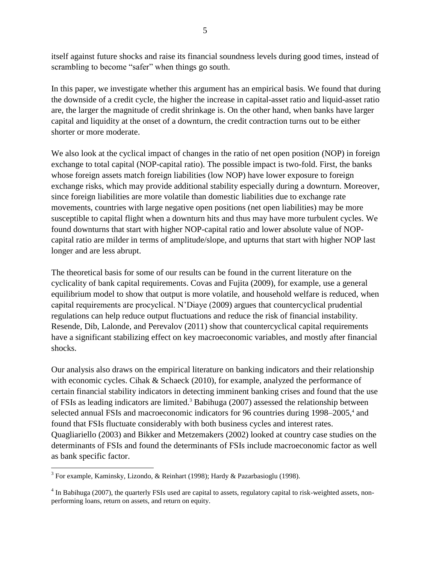itself against future shocks and raise its financial soundness levels during good times, instead of scrambling to become "safer" when things go south.

In this paper, we investigate whether this argument has an empirical basis. We found that during the downside of a credit cycle, the higher the increase in capital-asset ratio and liquid-asset ratio are, the larger the magnitude of credit shrinkage is. On the other hand, when banks have larger capital and liquidity at the onset of a downturn, the credit contraction turns out to be either shorter or more moderate.

We also look at the cyclical impact of changes in the ratio of net open position (NOP) in foreign exchange to total capital (NOP-capital ratio). The possible impact is two-fold. First, the banks whose foreign assets match foreign liabilities (low NOP) have lower exposure to foreign exchange risks, which may provide additional stability especially during a downturn. Moreover, since foreign liabilities are more volatile than domestic liabilities due to exchange rate movements, countries with large negative open positions (net open liabilities) may be more susceptible to capital flight when a downturn hits and thus may have more turbulent cycles. We found downturns that start with higher NOP-capital ratio and lower absolute value of NOPcapital ratio are milder in terms of amplitude/slope, and upturns that start with higher NOP last longer and are less abrupt.

The theoretical basis for some of our results can be found in the current literature on the cyclicality of bank capital requirements. Covas and Fujita (2009), for example, use a general equilibrium model to show that output is more volatile, and household welfare is reduced, when capital requirements are procyclical. N'Diaye (2009) argues that countercyclical prudential regulations can help reduce output fluctuations and reduce the risk of financial instability. Resende, Dib, Lalonde, and Perevalov (2011) show that countercyclical capital requirements have a significant stabilizing effect on key macroeconomic variables, and mostly after financial shocks.

Our analysis also draws on the empirical literature on banking indicators and their relationship with economic cycles. Cihak & Schaeck (2010), for example, analyzed the performance of certain financial stability indicators in detecting imminent banking crises and found that the use of FSIs as leading indicators are limited.<sup>3</sup> Babihuga (2007) assessed the relationship between selected annual FSIs and macroeconomic indicators for 96 countries during 1998–2005,<sup>4</sup> and found that FSIs fluctuate considerably with both business cycles and interest rates. Quagliariello (2003) and Bikker and Metzemakers (2002) looked at country case studies on the determinants of FSIs and found the determinants of FSIs include macroeconomic factor as well as bank specific factor.

 3 For example, Kaminsky, Lizondo, & Reinhart (1998); Hardy & Pazarbasioglu (1998).

 $4 \text{ In Babihuga (2007)}$ , the quarterly FSIs used are capital to assets, regulatory capital to risk-weighted assets, nonperforming loans, return on assets, and return on equity.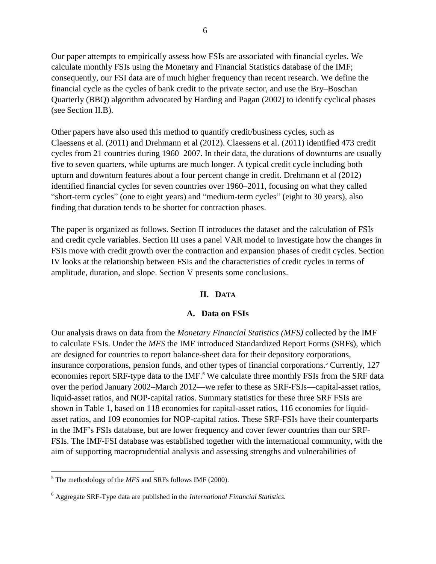Our paper attempts to empirically assess how FSIs are associated with financial cycles. We calculate monthly FSIs using the Monetary and Financial Statistics database of the IMF; consequently, our FSI data are of much higher frequency than recent research. We define the financial cycle as the cycles of bank credit to the private sector, and use the Bry–Boschan Quarterly (BBQ) algorithm advocated by Harding and Pagan (2002) to identify cyclical phases (see Section II.B).

Other papers have also used this method to quantify credit/business cycles, such as Claessens et al. (2011) and Drehmann et al (2012). Claessens et al. (2011) identified 473 credit cycles from 21 countries during 1960–2007. In their data, the durations of downturns are usually five to seven quarters, while upturns are much longer. A typical credit cycle including both upturn and downturn features about a four percent change in credit. Drehmann et al (2012) identified financial cycles for seven countries over 1960–2011, focusing on what they called "short-term cycles" (one to eight years) and "medium-term cycles" (eight to 30 years), also finding that duration tends to be shorter for contraction phases.

The paper is organized as follows. Section II introduces the dataset and the calculation of FSIs and credit cycle variables. Section III uses a panel VAR model to investigate how the changes in FSIs move with credit growth over the contraction and expansion phases of credit cycles. Section IV looks at the relationship between FSIs and the characteristics of credit cycles in terms of amplitude, duration, and slope. Section V presents some conclusions.

#### **II. DATA**

#### **A. Data on FSIs**

Our analysis draws on data from the *Monetary Financial Statistics (MFS)* collected by the IMF to calculate FSIs. Under the *MFS* the IMF introduced Standardized Report Forms (SRFs), which are designed for countries to report balance-sheet data for their depository corporations, insurance corporations, pension funds, and other types of financial corporations.<sup>5</sup> Currently, 127 economies report SRF-type data to the IMF.<sup>6</sup> We calculate three monthly FSIs from the SRF data over the period January 2002–March 2012—we refer to these as SRF-FSIs—capital-asset ratios, liquid-asset ratios, and NOP-capital ratios. Summary statistics for these three SRF FSIs are shown in Table 1, based on 118 economies for capital-asset ratios, 116 economies for liquidasset ratios, and 109 economies for NOP-capital ratios. These SRF-FSIs have their counterparts in the IMF's FSIs database, but are lower frequency and cover fewer countries than our SRF-FSIs. The IMF-FSI database was established together with the international community, with the aim of supporting macroprudential analysis and assessing strengths and vulnerabilities of

<sup>&</sup>lt;sup>5</sup> The methodology of the *MFS* and SRFs follows IMF (2000).

<sup>6</sup> Aggregate SRF-Type data are published in the *International Financial Statistics.*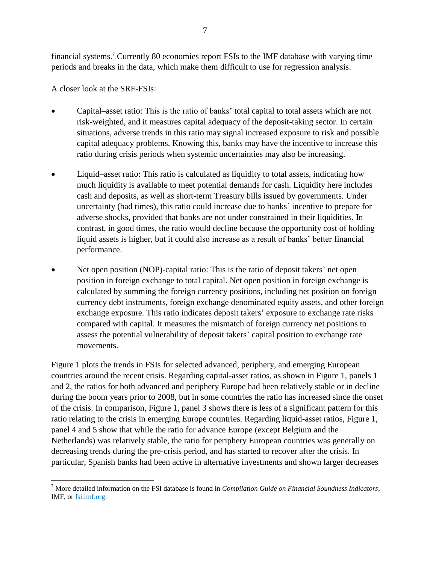financial systems.<sup>7</sup> Currently 80 economies report FSIs to the IMF database with varying time periods and breaks in the data, which make them difficult to use for regression analysis.

A closer look at the SRF-FSIs:

 $\overline{a}$ 

- Capital–asset ratio: This is the ratio of banks' total capital to total assets which are not risk-weighted, and it measures capital adequacy of the deposit-taking sector. In certain situations, adverse trends in this ratio may signal increased exposure to risk and possible capital adequacy problems. Knowing this, banks may have the incentive to increase this ratio during crisis periods when systemic uncertainties may also be increasing.
- Liquid–asset ratio: This ratio is calculated as liquidity to total assets, indicating how much liquidity is available to meet potential demands for cash. Liquidity here includes cash and deposits, as well as short-term Treasury bills issued by governments. Under uncertainty (bad times), this ratio could increase due to banks' incentive to prepare for adverse shocks, provided that banks are not under constrained in their liquidities. In contrast, in good times, the ratio would decline because the opportunity cost of holding liquid assets is higher, but it could also increase as a result of banks' better financial performance.
- Net open position (NOP)-capital ratio: This is the ratio of deposit takers' net open position in foreign exchange to total capital. Net open position in foreign exchange is calculated by summing the foreign currency positions, including net position on foreign currency debt instruments, foreign exchange denominated equity assets, and other foreign exchange exposure. This ratio indicates deposit takers' exposure to exchange rate risks compared with capital. It measures the mismatch of foreign currency net positions to assess the potential vulnerability of deposit takers' capital position to exchange rate movements.

Figure 1 plots the trends in FSIs for selected advanced, periphery, and emerging European countries around the recent crisis. Regarding capital-asset ratios, as shown in Figure 1, panels 1 and 2, the ratios for both advanced and periphery Europe had been relatively stable or in decline during the boom years prior to 2008, but in some countries the ratio has increased since the onset of the crisis. In comparison, Figure 1, panel 3 shows there is less of a significant pattern for this ratio relating to the crisis in emerging Europe countries. Regarding liquid-asset ratios, Figure 1, panel 4 and 5 show that while the ratio for advance Europe (except Belgium and the Netherlands) was relatively stable, the ratio for periphery European countries was generally on decreasing trends during the pre-crisis period, and has started to recover after the crisis. In particular, Spanish banks had been active in alternative investments and shown larger decreases

<sup>7</sup> More detailed information on the FSI database is found in *Compilation Guide on Financial Soundness Indicators*, IMF, or fsi.imf.org.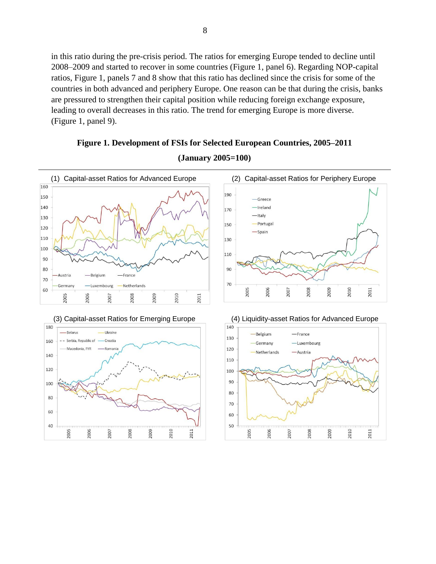in this ratio during the pre-crisis period. The ratios for emerging Europe tended to decline until 2008–2009 and started to recover in some countries (Figure 1, panel 6). Regarding NOP-capital ratios, Figure 1, panels 7 and 8 show that this ratio has declined since the crisis for some of the countries in both advanced and periphery Europe. One reason can be that during the crisis, banks are pressured to strengthen their capital position while reducing foreign exchange exposure, leading to overall decreases in this ratio. The trend for emerging Europe is more diverse. (Figure 1, panel 9).



# **Figure 1. Development of FSIs for Selected European Countries, 2005–2011 (January 2005=100)**



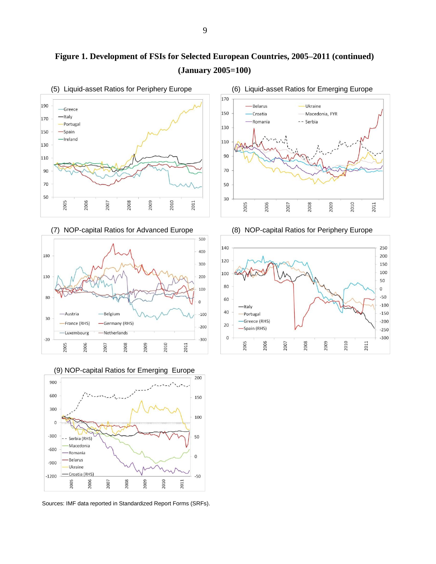



(7) NOP-capital Ratios for Advanced Europe



(9) NOP-capital Ratios for Emerging Europe



Sources: IMF data reported in Standardized Report Forms (SRFs).

170 -Belarus **Ukraine** 150 Macedonia, FYR -Croatia -- Serbia Romania 130 110 90 70 50 30 2005 2006 2007 2008 2009 2010 2011



(8) NOP-capital Ratios for Periphery Europe

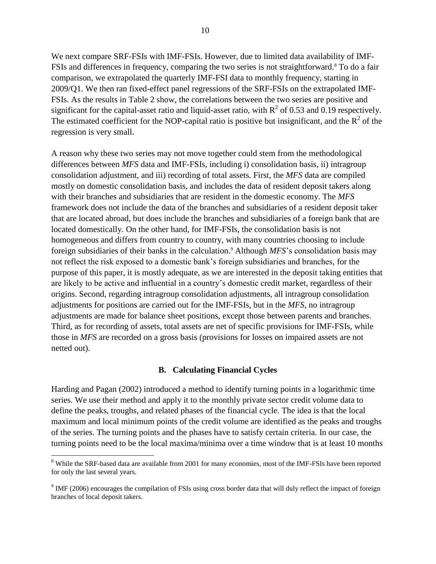We next compare SRF-FSIs with IMF-FSIs. However, due to limited data availability of IMF-FSIs and differences in frequency, comparing the two series is not straightforward.<sup>8</sup> To do a fair comparison, we extrapolated the quarterly IMF-FSI data to monthly frequency, starting in 2009/Q1. We then ran fixed-effect panel regressions of the SRF-FSIs on the extrapolated IMF-FSIs. As the results in Table 2 show, the correlations between the two series are positive and significant for the capital-asset ratio and liquid-asset ratio, with  $R^2$  of 0.53 and 0.19 respectively. The estimated coefficient for the NOP-capital ratio is positive but insignificant, and the  $R^2$  of the regression is very small.

A reason why these two series may not move together could stem from the methodological differences between *MFS* data and IMF-FSIs, including i) consolidation basis, ii) intragroup consolidation adjustment, and iii) recording of total assets. First, the *MFS* data are compiled mostly on domestic consolidation basis, and includes the data of resident deposit takers along with their branches and subsidiaries that are resident in the domestic economy. The *MFS* framework does not include the data of the branches and subsidiaries of a resident deposit taker that are located abroad, but does include the branches and subsidiaries of a foreign bank that are located domestically. On the other hand, for IMF-FSIs, the consolidation basis is not homogeneous and differs from country to country, with many countries choosing to include foreign subsidiaries of their banks in the calculation. <sup>9</sup> Although *MFS*'s consolidation basis may not reflect the risk exposed to a domestic bank's foreign subsidiaries and branches, for the purpose of this paper, it is mostly adequate, as we are interested in the deposit taking entities that are likely to be active and influential in a country's domestic credit market, regardless of their origins. Second, regarding intragroup consolidation adjustments, all intragroup consolidation adjustments for positions are carried out for the IMF-FSIs, but in the *MFS*, no intragroup adjustments are made for balance sheet positions, except those between parents and branches. Third, as for recording of assets, total assets are net of specific provisions for IMF-FSIs, while those in *MFS* are recorded on a gross basis (provisions for losses on impaired assets are not netted out).

#### **B. Calculating Financial Cycles**

Harding and Pagan (2002) introduced a method to identify turning points in a logarithmic time series. We use their method and apply it to the monthly private sector credit volume data to define the peaks, troughs, and related phases of the financial cycle. The idea is that the local maximum and local minimum points of the credit volume are identified as the peaks and troughs of the series. The turning points and the phases have to satisfy certain criteria. In our case, the turning points need to be the local maxima/minima over a time window that is at least 10 months

<sup>&</sup>lt;sup>8</sup> While the SRF-based data are available from 2001 for many economies, most of the IMF-FSIs have been reported for only the last several years.

 $9 \text{ IMF } (2006)$  encourages the compilation of FSIs using cross border data that will duly reflect the impact of foreign branches of local deposit takers.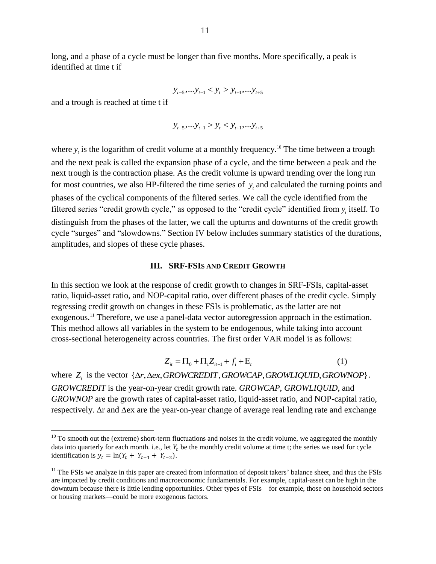long, and a phase of a cycle must be longer than five months. More specifically, a peak is identified at time t if

 $y_{t-5},...,y_{t-1} < y_t > y_{t+1},...,y_{t+5}$ 

and a trough is reached at time t if

 $\overline{a}$ 

$$
y_{t-5},...y_{t-1} > y_t < y_{t+1},...y_{t+5}
$$

where  $y_t$  is the logarithm of credit volume at a monthly frequency.<sup>10</sup> The time between a trough and the next peak is called the expansion phase of a cycle, and the time between a peak and the next trough is the contraction phase. As the credit volume is upward trending over the long run for most countries, we also HP-filtered the time series of  $y_t$  and calculated the turning points and phases of the cyclical components of the filtered series. We call the cycle identified from the filtered series "credit growth cycle," as opposed to the "credit cycle" identified from  $y_t$  itself. To distinguish from the phases of the latter, we call the upturns and downturns of the credit growth cycle "surges" and "slowdowns." Section IV below includes summary statistics of the durations, amplitudes, and slopes of these cycle phases.

#### **III. SRF-FSIS AND CREDIT GROWTH**

In this section we look at the response of credit growth to changes in SRF-FSIs, capital-asset ratio, liquid-asset ratio, and NOP-capital ratio, over different phases of the credit cycle. Simply regressing credit growth on changes in these FSIs is problematic, as the latter are not exogenous.<sup>11</sup> Therefore, we use a panel-data vector autoregression approach in the estimation. This method allows all variables in the system to be endogenous, while taking into account cross-sectional heterogeneity across countries. The first order VAR model is as follows:

$$
Z_{it} = \Pi_0 + \Pi_1 Z_{it-1} + f_i + E_t \tag{1}
$$

where  $Z_t$  is the vector  $Z_{it} = \Pi_0 + \Pi_1 Z_{it-1} + f_i + E_t$  (1)<br>{ $\Delta r$ ,  $\Delta ex$ , *GROWCREDIT*, *GROWCAP*, *GROWLIQUID*, *GROWNOP*}. *GROWCREDIT* is the year-on-year credit growth rate. *GROWCAP*, *GROWLIQUID*, and *GROWNOP* are the growth rates of capital-asset ratio, liquid-asset ratio, and NOP-capital ratio, respectively. ∆r and ∆ex are the year-on-year change of average real lending rate and exchange

 $10$  To smooth out the (extreme) short-term fluctuations and noises in the credit volume, we aggregated the monthly data into quarterly for each month. i.e., let  $Y_t$  be the monthly credit volume at time t; the series we used for cycle identification is  $y_t = \ln(Y_t + Y_{t-1} + Y_{t-2})$ .

 $<sup>11</sup>$  The FSIs we analyze in this paper are created from information of deposit takers' balance sheet, and thus the FSIs</sup> are impacted by credit conditions and macroeconomic fundamentals. For example, capital-asset can be high in the downturn because there is little lending opportunities. Other types of FSIs—for example, those on household sectors or housing markets—could be more exogenous factors.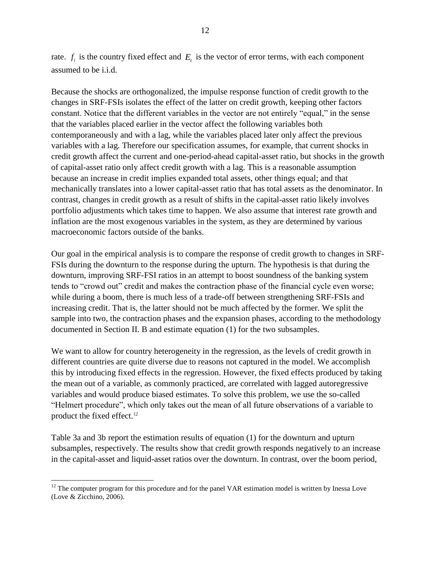rate.  $f_i$  is the country fixed effect and  $E_t$  is the vector of error terms, with each component assumed to be i.i.d.

Because the shocks are orthogonalized, the impulse response function of credit growth to the changes in SRF-FSIs isolates the effect of the latter on credit growth, keeping other factors constant. Notice that the different variables in the vector are not entirely "equal," in the sense that the variables placed earlier in the vector affect the following variables both contemporaneously and with a lag, while the variables placed later only affect the previous variables with a lag. Therefore our specification assumes, for example, that current shocks in credit growth affect the current and one-period-ahead capital-asset ratio, but shocks in the growth of capital-asset ratio only affect credit growth with a lag. This is a reasonable assumption because an increase in credit implies expanded total assets, other things equal; and that mechanically translates into a lower capital-asset ratio that has total assets as the denominator. In contrast, changes in credit growth as a result of shifts in the capital-asset ratio likely involves portfolio adjustments which takes time to happen. We also assume that interest rate growth and inflation are the most exogenous variables in the system, as they are determined by various macroeconomic factors outside of the banks.

Our goal in the empirical analysis is to compare the response of credit growth to changes in SRF-FSIs during the downturn to the response during the upturn. The hypothesis is that during the downturn, improving SRF-FSI ratios in an attempt to boost soundness of the banking system tends to "crowd out" credit and makes the contraction phase of the financial cycle even worse; while during a boom, there is much less of a trade-off between strengthening SRF-FSIs and increasing credit. That is, the latter should not be much affected by the former. We split the sample into two, the contraction phases and the expansion phases, according to the methodology documented in Section II. B and estimate equation (1) for the two subsamples.

We want to allow for country heterogeneity in the regression, as the levels of credit growth in different countries are quite diverse due to reasons not captured in the model. We accomplish this by introducing fixed effects in the regression. However, the fixed effects produced by taking the mean out of a variable, as commonly practiced, are correlated with lagged autoregressive variables and would produce biased estimates. To solve this problem, we use the so-called "Helmert procedure", which only takes out the mean of all future observations of a variable to product the fixed effect.<sup>12</sup>

Table 3a and 3b report the estimation results of equation (1) for the downturn and upturn subsamples, respectively. The results show that credit growth responds negatively to an increase in the capital-asset and liquid-asset ratios over the downturn. In contrast, over the boom period,

<sup>&</sup>lt;sup>12</sup> The computer program for this procedure and for the panel VAR estimation model is written by Inessa Love (Love & Zicchino, 2006).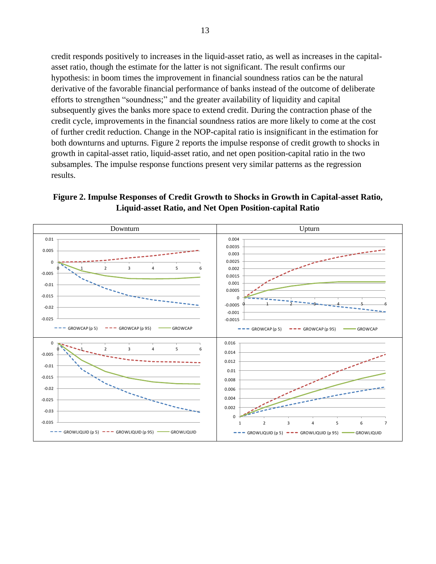credit responds positively to increases in the liquid-asset ratio, as well as increases in the capitalasset ratio, though the estimate for the latter is not significant. The result confirms our hypothesis: in boom times the improvement in financial soundness ratios can be the natural derivative of the favorable financial performance of banks instead of the outcome of deliberate efforts to strengthen "soundness;" and the greater availability of liquidity and capital subsequently gives the banks more space to extend credit. During the contraction phase of the credit cycle, improvements in the financial soundness ratios are more likely to come at the cost of further credit reduction. Change in the NOP-capital ratio is insignificant in the estimation for both downturns and upturns. Figure 2 reports the impulse response of credit growth to shocks in growth in capital-asset ratio, liquid-asset ratio, and net open position-capital ratio in the two subsamples. The impulse response functions present very similar patterns as the regression results.



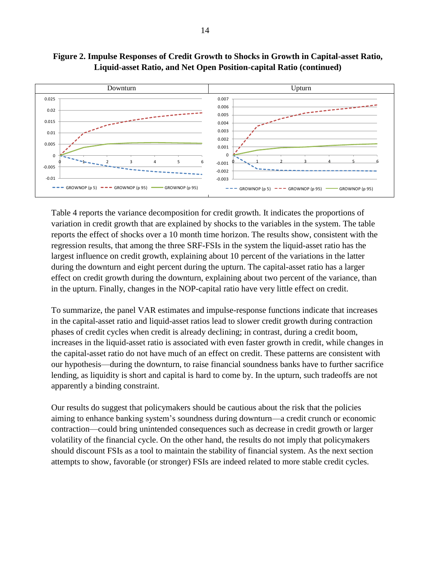

 $\overline{---}$  GROWNOP (p 5)  $\overline{---}$  GROWNOP (p 95)  $\overline{---}$  GROWNOP (p 95)

### **Figure 2. Impulse Responses of Credit Growth to Shocks in Growth in Capital-asset Ratio, Liquid-asset Ratio, and Net Open Position-capital Ratio (continued)**

Table 4 reports the variance decomposition for credit growth. It indicates the proportions of variation in credit growth that are explained by shocks to the variables in the system. The table reports the effect of shocks over a 10 month time horizon. The results show, consistent with the regression results, that among the three SRF-FSIs in the system the liquid-asset ratio has the largest influence on credit growth, explaining about 10 percent of the variations in the latter during the downturn and eight percent during the upturn. The capital-asset ratio has a larger effect on credit growth during the downturn, explaining about two percent of the variance, than in the upturn. Finally, changes in the NOP-capital ratio have very little effect on credit.

 $\overline{---}$  GROWNOP (p 5)  $\overline{---}$  GROWNOP (p 95)  $\overline{---}$  GROWNOP (p 95)

To summarize, the panel VAR estimates and impulse-response functions indicate that increases in the capital-asset ratio and liquid-asset ratios lead to slower credit growth during contraction phases of credit cycles when credit is already declining; in contrast, during a credit boom, increases in the liquid-asset ratio is associated with even faster growth in credit, while changes in the capital-asset ratio do not have much of an effect on credit. These patterns are consistent with our hypothesis—during the downturn, to raise financial soundness banks have to further sacrifice lending, as liquidity is short and capital is hard to come by. In the upturn, such tradeoffs are not apparently a binding constraint.

Our results do suggest that policymakers should be cautious about the risk that the policies aiming to enhance banking system's soundness during downturn—a credit crunch or economic contraction—could bring unintended consequences such as decrease in credit growth or larger volatility of the financial cycle. On the other hand, the results do not imply that policymakers should discount FSIs as a tool to maintain the stability of financial system. As the next section attempts to show, favorable (or stronger) FSIs are indeed related to more stable credit cycles.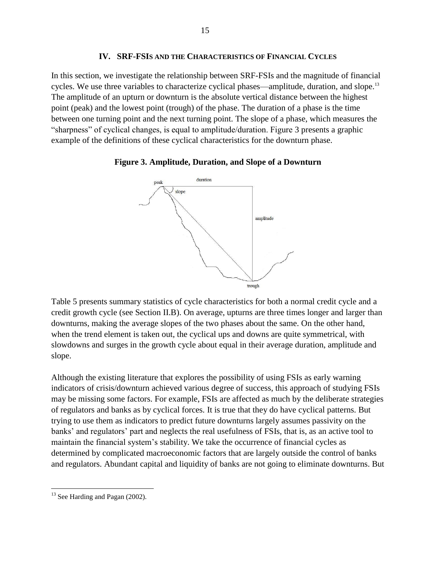#### **IV. SRF-FSIS AND THE CHARACTERISTICS OF FINANCIAL CYCLES**

In this section, we investigate the relationship between SRF-FSIs and the magnitude of financial cycles. We use three variables to characterize cyclical phases—amplitude, duration, and slope.<sup>13</sup> The amplitude of an upturn or downturn is the absolute vertical distance between the highest point (peak) and the lowest point (trough) of the phase. The duration of a phase is the time between one turning point and the next turning point. The slope of a phase, which measures the "sharpness" of cyclical changes, is equal to amplitude/duration. Figure 3 presents a graphic example of the definitions of these cyclical characteristics for the downturn phase.

#### **Figure 3. Amplitude, Duration, and Slope of a Downturn**



Table 5 presents summary statistics of cycle characteristics for both a normal credit cycle and a credit growth cycle (see Section II.B). On average, upturns are three times longer and larger than downturns, making the average slopes of the two phases about the same. On the other hand, when the trend element is taken out, the cyclical ups and downs are quite symmetrical, with slowdowns and surges in the growth cycle about equal in their average duration, amplitude and slope.

Although the existing literature that explores the possibility of using FSIs as early warning indicators of crisis/downturn achieved various degree of success, this approach of studying FSIs may be missing some factors. For example, FSIs are affected as much by the deliberate strategies of regulators and banks as by cyclical forces. It is true that they do have cyclical patterns. But trying to use them as indicators to predict future downturns largely assumes passivity on the banks' and regulators' part and neglects the real usefulness of FSIs, that is, as an active tool to maintain the financial system's stability. We take the occurrence of financial cycles as determined by complicated macroeconomic factors that are largely outside the control of banks and regulators. Abundant capital and liquidity of banks are not going to eliminate downturns. But

<sup>&</sup>lt;sup>13</sup> See Harding and Pagan (2002).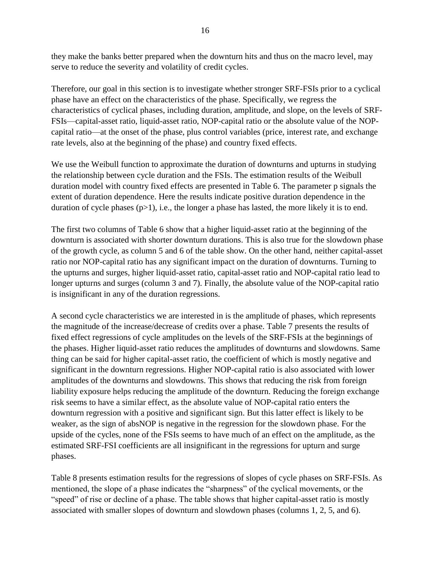they make the banks better prepared when the downturn hits and thus on the macro level, may serve to reduce the severity and volatility of credit cycles.

Therefore, our goal in this section is to investigate whether stronger SRF-FSIs prior to a cyclical phase have an effect on the characteristics of the phase. Specifically, we regress the characteristics of cyclical phases, including duration, amplitude, and slope, on the levels of SRF-FSIs—capital-asset ratio, liquid-asset ratio, NOP-capital ratio or the absolute value of the NOPcapital ratio—at the onset of the phase, plus control variables (price, interest rate, and exchange rate levels, also at the beginning of the phase) and country fixed effects.

We use the Weibull function to approximate the duration of downturns and upturns in studying the relationship between cycle duration and the FSIs. The estimation results of the Weibull duration model with country fixed effects are presented in Table 6. The parameter p signals the extent of duration dependence. Here the results indicate positive duration dependence in the duration of cycle phases  $(p>1)$ , i.e., the longer a phase has lasted, the more likely it is to end.

The first two columns of Table 6 show that a higher liquid-asset ratio at the beginning of the downturn is associated with shorter downturn durations. This is also true for the slowdown phase of the growth cycle, as column 5 and 6 of the table show. On the other hand, neither capital-asset ratio nor NOP-capital ratio has any significant impact on the duration of downturns. Turning to the upturns and surges, higher liquid-asset ratio, capital-asset ratio and NOP-capital ratio lead to longer upturns and surges (column 3 and 7). Finally, the absolute value of the NOP-capital ratio is insignificant in any of the duration regressions.

A second cycle characteristics we are interested in is the amplitude of phases, which represents the magnitude of the increase/decrease of credits over a phase. Table 7 presents the results of fixed effect regressions of cycle amplitudes on the levels of the SRF-FSIs at the beginnings of the phases. Higher liquid-asset ratio reduces the amplitudes of downturns and slowdowns. Same thing can be said for higher capital-asset ratio, the coefficient of which is mostly negative and significant in the downturn regressions. Higher NOP-capital ratio is also associated with lower amplitudes of the downturns and slowdowns. This shows that reducing the risk from foreign liability exposure helps reducing the amplitude of the downturn. Reducing the foreign exchange risk seems to have a similar effect, as the absolute value of NOP-capital ratio enters the downturn regression with a positive and significant sign. But this latter effect is likely to be weaker, as the sign of absNOP is negative in the regression for the slowdown phase. For the upside of the cycles, none of the FSIs seems to have much of an effect on the amplitude, as the estimated SRF-FSI coefficients are all insignificant in the regressions for upturn and surge phases.

Table 8 presents estimation results for the regressions of slopes of cycle phases on SRF-FSIs. As mentioned, the slope of a phase indicates the "sharpness" of the cyclical movements, or the "speed" of rise or decline of a phase. The table shows that higher capital-asset ratio is mostly associated with smaller slopes of downturn and slowdown phases (columns 1, 2, 5, and 6).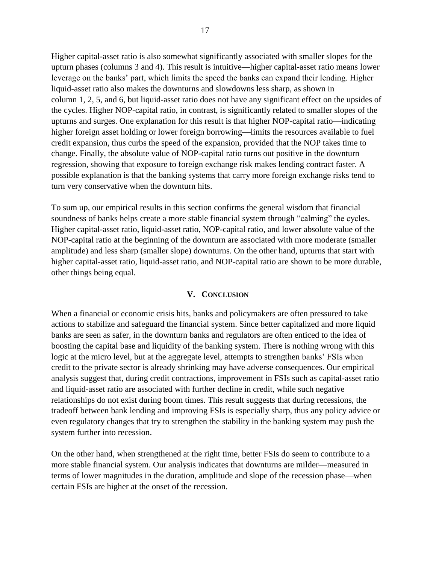Higher capital-asset ratio is also somewhat significantly associated with smaller slopes for the upturn phases (columns 3 and 4). This result is intuitive—higher capital-asset ratio means lower leverage on the banks' part, which limits the speed the banks can expand their lending. Higher liquid-asset ratio also makes the downturns and slowdowns less sharp, as shown in column 1, 2, 5, and 6, but liquid-asset ratio does not have any significant effect on the upsides of the cycles. Higher NOP-capital ratio, in contrast, is significantly related to smaller slopes of the upturns and surges. One explanation for this result is that higher NOP-capital ratio—indicating higher foreign asset holding or lower foreign borrowing—limits the resources available to fuel credit expansion, thus curbs the speed of the expansion, provided that the NOP takes time to change. Finally, the absolute value of NOP-capital ratio turns out positive in the downturn regression, showing that exposure to foreign exchange risk makes lending contract faster. A possible explanation is that the banking systems that carry more foreign exchange risks tend to turn very conservative when the downturn hits.

To sum up, our empirical results in this section confirms the general wisdom that financial soundness of banks helps create a more stable financial system through "calming" the cycles. Higher capital-asset ratio, liquid-asset ratio, NOP-capital ratio, and lower absolute value of the NOP-capital ratio at the beginning of the downturn are associated with more moderate (smaller amplitude) and less sharp (smaller slope) downturns. On the other hand, upturns that start with higher capital-asset ratio, liquid-asset ratio, and NOP-capital ratio are shown to be more durable, other things being equal.

#### **V. CONCLUSION**

When a financial or economic crisis hits, banks and policymakers are often pressured to take actions to stabilize and safeguard the financial system. Since better capitalized and more liquid banks are seen as safer, in the downturn banks and regulators are often enticed to the idea of boosting the capital base and liquidity of the banking system. There is nothing wrong with this logic at the micro level, but at the aggregate level, attempts to strengthen banks' FSIs when credit to the private sector is already shrinking may have adverse consequences. Our empirical analysis suggest that, during credit contractions, improvement in FSIs such as capital-asset ratio and liquid-asset ratio are associated with further decline in credit, while such negative relationships do not exist during boom times. This result suggests that during recessions, the tradeoff between bank lending and improving FSIs is especially sharp, thus any policy advice or even regulatory changes that try to strengthen the stability in the banking system may push the system further into recession.

On the other hand, when strengthened at the right time, better FSIs do seem to contribute to a more stable financial system. Our analysis indicates that downturns are milder—measured in terms of lower magnitudes in the duration, amplitude and slope of the recession phase—when certain FSIs are higher at the onset of the recession.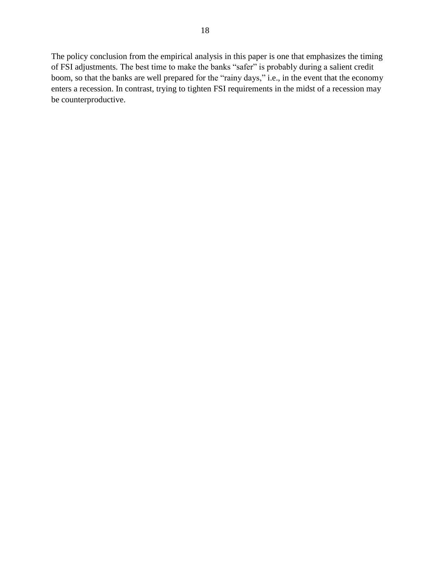The policy conclusion from the empirical analysis in this paper is one that emphasizes the timing of FSI adjustments. The best time to make the banks "safer" is probably during a salient credit boom, so that the banks are well prepared for the "rainy days," i.e., in the event that the economy enters a recession. In contrast, trying to tighten FSI requirements in the midst of a recession may be counterproductive.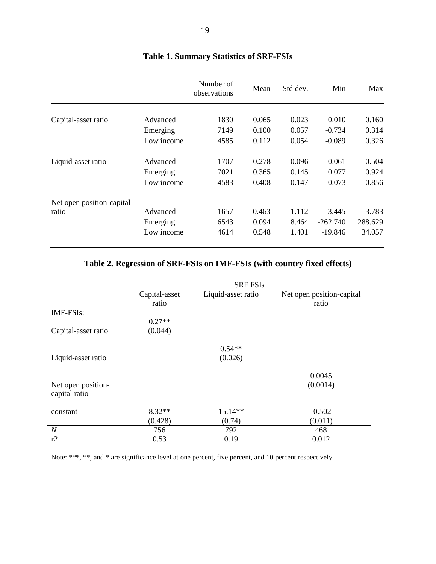|                           |            | Number of<br>observations | Mean     | Std dev. | Min        | Max     |
|---------------------------|------------|---------------------------|----------|----------|------------|---------|
| Capital-asset ratio       | Advanced   | 1830                      | 0.065    | 0.023    | 0.010      | 0.160   |
|                           | Emerging   | 7149                      | 0.100    | 0.057    | $-0.734$   | 0.314   |
|                           | Low income | 4585                      | 0.112    | 0.054    | $-0.089$   | 0.326   |
| Liquid-asset ratio        | Advanced   | 1707                      | 0.278    | 0.096    | 0.061      | 0.504   |
|                           | Emerging   | 7021                      | 0.365    | 0.145    | 0.077      | 0.924   |
|                           | Low income | 4583                      | 0.408    | 0.147    | 0.073      | 0.856   |
| Net open position-capital |            |                           |          |          |            |         |
| ratio                     | Advanced   | 1657                      | $-0.463$ | 1.112    | $-3.445$   | 3.783   |
|                           | Emerging   | 6543                      | 0.094    | 8.464    | $-262.740$ | 288.629 |
|                           | Low income | 4614                      | 0.548    | 1.401    | $-19.846$  | 34.057  |

## **Table 1. Summary Statistics of SRF-FSIs**

## **Table 2. Regression of SRF-FSIs on IMF-FSIs (with country fixed effects)**

|                     |               | <b>SRF FSIs</b>    |                           |
|---------------------|---------------|--------------------|---------------------------|
|                     | Capital-asset | Liquid-asset ratio | Net open position-capital |
|                     | ratio         |                    | ratio                     |
| IMF-FSIs:           |               |                    |                           |
|                     | $0.27**$      |                    |                           |
| Capital-asset ratio | (0.044)       |                    |                           |
|                     |               |                    |                           |
|                     |               | $0.54**$           |                           |
| Liquid-asset ratio  |               | (0.026)            |                           |
|                     |               |                    |                           |
|                     |               |                    | 0.0045                    |
| Net open position-  |               |                    | (0.0014)                  |
| capital ratio       |               |                    |                           |
|                     |               |                    |                           |
| constant            | $8.32**$      | $15.14**$          | $-0.502$                  |
|                     | (0.428)       | (0.74)             | (0.011)                   |
| $\boldsymbol{N}$    | 756           | 792                | 468                       |
| r2                  | 0.53          | 0.19               | 0.012                     |

Note: \*\*\*, \*\*, and \* are significance level at one percent, five percent, and 10 percent respectively.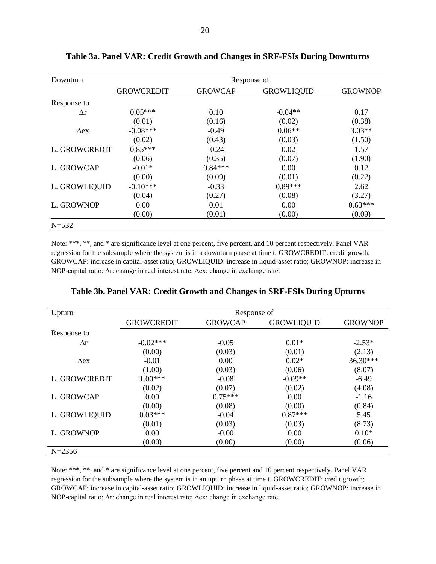| Downturn      |                   |                | Response of       |                |
|---------------|-------------------|----------------|-------------------|----------------|
|               | <b>GROWCREDIT</b> | <b>GROWCAP</b> | <b>GROWLIQUID</b> | <b>GROWNOP</b> |
| Response to   |                   |                |                   |                |
| $\Delta r$    | $0.05***$         | 0.10           | $-0.04**$         | 0.17           |
|               | (0.01)            | (0.16)         | (0.02)            | (0.38)         |
| $\Delta$ ex   | $-0.08***$        | $-0.49$        | $0.06**$          | $3.03**$       |
|               | (0.02)            | (0.43)         | (0.03)            | (1.50)         |
| L. GROWCREDIT | $0.85***$         | $-0.24$        | 0.02              | 1.57           |
|               | (0.06)            | (0.35)         | (0.07)            | (1.90)         |
| L. GROWCAP    | $-0.01*$          | $0.84***$      | 0.00              | 0.12           |
|               | (0.00)            | (0.09)         | (0.01)            | (0.22)         |
| L. GROWLIQUID | $-0.10***$        | $-0.33$        | $0.89***$         | 2.62           |
|               | (0.04)            | (0.27)         | (0.08)            | (3.27)         |
| L. GROWNOP    | 0.00              | 0.01           | 0.00              | $0.63***$      |
|               | (0.00)            | (0.01)         | (0.00)            | (0.09)         |
| $N = 532$     |                   |                |                   |                |

**Table 3a. Panel VAR: Credit Growth and Changes in SRF-FSIs During Downturns**

Note: \*\*\*, \*\*, and \* are significance level at one percent, five percent, and 10 percent respectively. Panel VAR regression for the subsample where the system is in a downturn phase at time t. GROWCREDIT: credit growth; GROWCAP: increase in capital-asset ratio; GROWLIQUID: increase in liquid-asset ratio; GROWNOP: increase in NOP-capital ratio; ∆r: change in real interest rate; ∆ex: change in exchange rate.

| Upturn        | Response of       |                |                   |                |  |  |
|---------------|-------------------|----------------|-------------------|----------------|--|--|
|               | <b>GROWCREDIT</b> | <b>GROWCAP</b> | <b>GROWLIQUID</b> | <b>GROWNOP</b> |  |  |
| Response to   |                   |                |                   |                |  |  |
| $\Delta r$    | $-0.02***$        | $-0.05$        | $0.01*$           | $-2.53*$       |  |  |
|               | (0.00)            | (0.03)         | (0.01)            | (2.13)         |  |  |
| $\Delta$ ex   | $-0.01$           | 0.00           | $0.02*$           | 36.30***       |  |  |
|               | (1.00)            | (0.03)         | (0.06)            | (8.07)         |  |  |
| L. GROWCREDIT | $1.00***$         | $-0.08$        | $-0.09**$         | $-6.49$        |  |  |
|               | (0.02)            | (0.07)         | (0.02)            | (4.08)         |  |  |
| L. GROWCAP    | 0.00              | $0.75***$      | 0.00              | $-1.16$        |  |  |
|               | (0.00)            | (0.08)         | (0.00)            | (0.84)         |  |  |
| L. GROWLIQUID | $0.03***$         | $-0.04$        | $0.87***$         | 5.45           |  |  |
|               | (0.01)            | (0.03)         | (0.03)            | (8.73)         |  |  |
| L. GROWNOP    | 0.00              | $-0.00$        | 0.00              | $0.10*$        |  |  |
|               | (0.00)            | (0.00)         | (0.00)            | (0.06)         |  |  |
| $N = 2356$    |                   |                |                   |                |  |  |

Note: \*\*\*, \*\*, and \* are significance level at one percent, five percent and 10 percent respectively. Panel VAR regression for the subsample where the system is in an upturn phase at time t. GROWCREDIT: credit growth; GROWCAP: increase in capital-asset ratio; GROWLIQUID: increase in liquid-asset ratio; GROWNOP: increase in NOP-capital ratio; ∆r: change in real interest rate; ∆ex: change in exchange rate.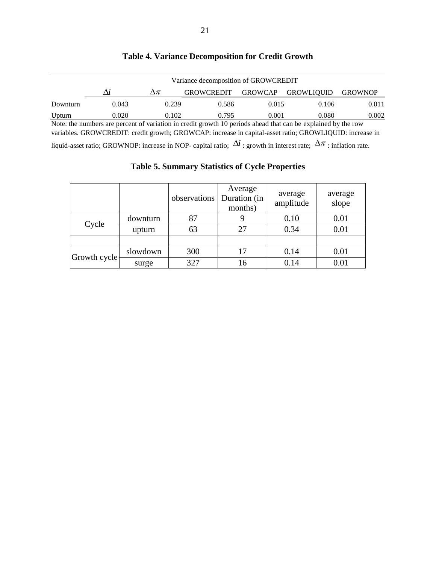|                                                                                   | Variance decomposition of GROWCREDIT |       |       |       |       |       |  |  |  |
|-----------------------------------------------------------------------------------|--------------------------------------|-------|-------|-------|-------|-------|--|--|--|
| GROWCAP<br>GROWLIQUID<br><b>GROWCREDIT</b><br>$\wedge\pi$<br><b>GROWNOP</b><br>/V |                                      |       |       |       |       |       |  |  |  |
| Downturn                                                                          | 0.043                                | 0.239 | 0.586 | 0.015 | 0.106 | 0.011 |  |  |  |
| Upturn                                                                            | 0.020                                | 0.102 | 0.795 | 0.001 | 0.080 | 0.002 |  |  |  |

## **Table 4. Variance Decomposition for Credit Growth**

Note: the numbers are percent of variation in credit growth 10 periods ahead that can be explained by the row variables. GROWCREDIT: credit growth; GROWCAP: increase in capital-asset ratio; GROWLIQUID: increase in

liquid-asset ratio; GROWNOP: increase in NOP- capital ratio;  $\Delta i$  : growth in interest rate;  $\Delta \pi$  : inflation rate.

|              |          | observations | Average<br>Duration (in<br>months) | average<br>amplitude | average<br>slope |
|--------------|----------|--------------|------------------------------------|----------------------|------------------|
| Cycle        | downturn | 87           |                                    | 0.10                 | 0.01             |
|              | upturn   | 63           | 27                                 | 0.34                 | 0.01             |
|              |          |              |                                    |                      |                  |
| Growth cycle | slowdown | 300          | 17                                 | 0.14                 | 0.01             |
|              | surge    | 327          | 16                                 | 0.14                 | 0.01             |

## **Table 5. Summary Statistics of Cycle Properties**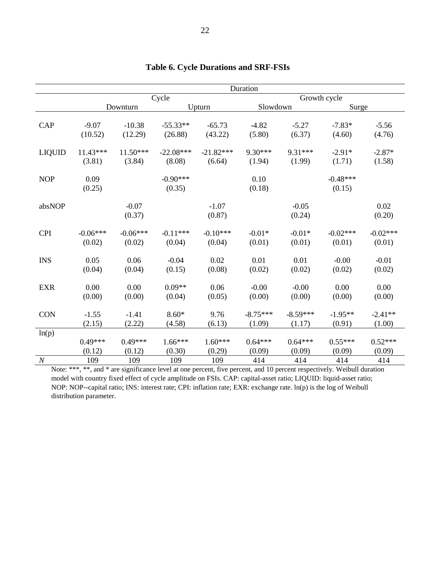|               | Duration             |                      |                       |                       |                                        |                      |                      |                      |  |  |
|---------------|----------------------|----------------------|-----------------------|-----------------------|----------------------------------------|----------------------|----------------------|----------------------|--|--|
|               |                      |                      | Cycle                 |                       |                                        | Growth cycle         |                      |                      |  |  |
|               |                      | Downturn             |                       | Upturn                | Slowdown                               |                      | Surge                |                      |  |  |
| <b>CAP</b>    | $-9.07$<br>(10.52)   | $-10.38$<br>(12.29)  | $-55.33**$<br>(26.88) | $-65.73$<br>(43.22)   | $-4.82$<br>(5.80)                      | $-5.27$<br>(6.37)    | $-7.83*$<br>(4.60)   | $-5.56$<br>(4.76)    |  |  |
| <b>LIQUID</b> | $11.43***$<br>(3.81) | $11.50***$<br>(3.84) | $-22.08***$<br>(8.08) | $-21.82***$<br>(6.64) | $9.30***$<br>(1.94)                    | $9.31***$<br>(1.99)  | $-2.91*$<br>(1.71)   | $-2.87*$<br>(1.58)   |  |  |
| <b>NOP</b>    | 0.09<br>(0.25)       | $-0.90***$<br>(0.35) |                       |                       | 0.10<br>$-0.48***$<br>(0.18)<br>(0.15) |                      |                      |                      |  |  |
| absNOP        |                      | $-0.07$<br>(0.37)    |                       | $-1.07$<br>(0.87)     |                                        | $-0.05$<br>(0.24)    |                      | 0.02<br>(0.20)       |  |  |
| <b>CPI</b>    | $-0.06***$<br>(0.02) | $-0.06***$<br>(0.02) | $-0.11***$<br>(0.04)  | $-0.10***$<br>(0.04)  | $-0.01*$<br>(0.01)                     | $-0.01*$<br>(0.01)   | $-0.02***$<br>(0.01) | $-0.02***$<br>(0.01) |  |  |
| <b>INS</b>    | 0.05<br>(0.04)       | 0.06<br>(0.04)       | $-0.04$<br>(0.15)     | 0.02<br>(0.08)        | 0.01<br>(0.02)                         | 0.01<br>(0.02)       | $-0.00$<br>(0.02)    | $-0.01$<br>(0.02)    |  |  |
| <b>EXR</b>    | 0.00<br>(0.00)       | 0.00<br>(0.00)       | $0.09**$<br>(0.04)    | 0.06<br>(0.05)        | $-0.00$<br>(0.00)                      | $-0.00$<br>(0.00)    | 0.00<br>(0.00)       | 0.00<br>(0.00)       |  |  |
| <b>CON</b>    | $-1.55$<br>(2.15)    | $-1.41$<br>(2.22)    | $8.60*$<br>(4.58)     | 9.76<br>(6.13)        | $-8.75***$<br>(1.09)                   | $-8.59***$<br>(1.17) | $-1.95**$<br>(0.91)  | $-2.41**$<br>(1.00)  |  |  |
| ln(p)         |                      |                      |                       |                       |                                        |                      |                      |                      |  |  |
|               | $0.49***$            | $0.49***$            | $1.66***$             | $1.60***$             | $0.64***$                              | $0.64***$            | $0.55***$            | $0.52***$            |  |  |
|               | (0.12)               | (0.12)               | (0.30)                | (0.29)                | (0.09)                                 | (0.09)               | (0.09)               | (0.09)               |  |  |
| $\cal N$      | 109                  | 109                  | 109                   | 109                   | 414                                    | 414                  | 414                  | 414                  |  |  |

### **Table 6. Cycle Durations and SRF-FSIs**

Note: \*\*\*, \*\*, and \* are significance level at one percent, five percent, and 10 percent respectively. Weibull duration model with country fixed effect of cycle amplitude on FSIs. CAP: capital-asset ratio; LIQUID: liquid-asset ratio; NOP: NOP--capital ratio; INS: interest rate; CPI: inflation rate; EXR: exchange rate. ln(p) is the log of Weibull distribution parameter.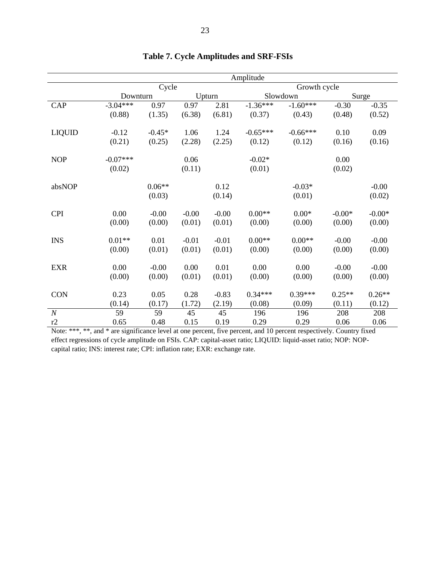|               | Amplitude  |          |         |         |              |            |          |          |  |
|---------------|------------|----------|---------|---------|--------------|------------|----------|----------|--|
|               |            | Cycle    |         |         | Growth cycle |            |          |          |  |
|               | Downturn   |          |         | Upturn  | Slowdown     |            |          | Surge    |  |
| CAP           | $-3.04***$ | 0.97     | 0.97    | 2.81    | $-1.36***$   | $-1.60***$ | $-0.30$  | $-0.35$  |  |
|               | (0.88)     | (1.35)   | (6.38)  | (6.81)  | (0.37)       | (0.43)     | (0.48)   | (0.52)   |  |
| <b>LIQUID</b> | $-0.12$    | $-0.45*$ | 1.06    | 1.24    | $-0.65***$   | $-0.66***$ | 0.10     | 0.09     |  |
|               | (0.21)     | (0.25)   | (2.28)  | (2.25)  | (0.12)       | (0.12)     | (0.16)   | (0.16)   |  |
| <b>NOP</b>    | $-0.07***$ |          | 0.06    |         | $-0.02*$     |            | 0.00     |          |  |
|               | (0.02)     |          | (0.11)  |         | (0.01)       |            | (0.02)   |          |  |
| absNOP        |            | $0.06**$ |         | 0.12    |              | $-0.03*$   |          | $-0.00$  |  |
|               |            | (0.03)   |         | (0.14)  |              | (0.01)     |          | (0.02)   |  |
| <b>CPI</b>    | 0.00       | $-0.00$  | $-0.00$ | $-0.00$ | $0.00**$     | $0.00*$    | $-0.00*$ | $-0.00*$ |  |
|               | (0.00)     | (0.00)   | (0.01)  | (0.01)  | (0.00)       | (0.00)     | (0.00)   | (0.00)   |  |
| <b>INS</b>    | $0.01**$   | 0.01     | $-0.01$ | $-0.01$ | $0.00**$     | $0.00**$   | $-0.00$  | $-0.00$  |  |
|               | (0.00)     | (0.01)   | (0.01)  | (0.01)  | (0.00)       | (0.00)     | (0.00)   | (0.00)   |  |
| <b>EXR</b>    | 0.00       | $-0.00$  | 0.00    | 0.01    | 0.00         | 0.00       | $-0.00$  | $-0.00$  |  |
|               | (0.00)     | (0.00)   | (0.01)  | (0.01)  | (0.00)       | (0.00)     | (0.00)   | (0.00)   |  |
| <b>CON</b>    | 0.23       | 0.05     | 0.28    | $-0.83$ | $0.34***$    | $0.39***$  | $0.25**$ | $0.26**$ |  |
|               | (0.14)     | (0.17)   | (1.72)  | (2.19)  | (0.08)       | (0.09)     | (0.11)   | (0.12)   |  |
| $\cal N$      | 59         | 59       | 45      | 45      | 196          | 196        | 208      | 208      |  |
| r2            | 0.65       | 0.48     | 0.15    | 0.19    | 0.29         | 0.29       | 0.06     | 0.06     |  |

## **Table 7. Cycle Amplitudes and SRF-FSIs**

Note: \*\*\*, \*\*, and \* are significance level at one percent, five percent, and 10 percent respectively. Country fixed effect regressions of cycle amplitude on FSIs. CAP: capital-asset ratio; LIQUID: liquid-asset ratio; NOP: NOPcapital ratio; INS: interest rate; CPI: inflation rate; EXR: exchange rate.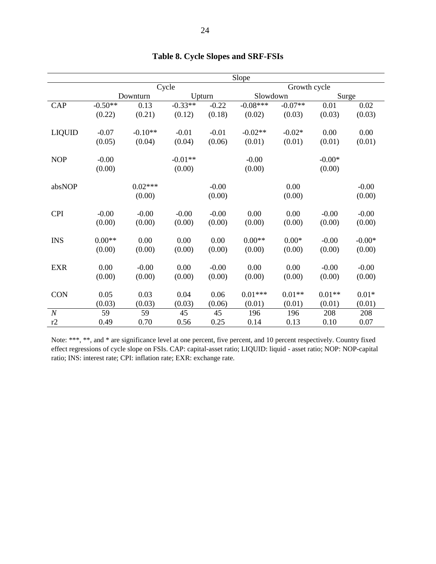|                  | Slope     |           |              |         |            |           |          |          |
|------------------|-----------|-----------|--------------|---------|------------|-----------|----------|----------|
|                  |           | Cycle     | Growth cycle |         |            |           |          |          |
|                  | Downturn  |           | Upturn       |         | Slowdown   |           | Surge    |          |
| <b>CAP</b>       | $-0.50**$ | 0.13      | $-0.33**$    | $-0.22$ | $-0.08***$ | $-0.07**$ | 0.01     | 0.02     |
|                  | (0.22)    | (0.21)    | (0.12)       | (0.18)  | (0.02)     | (0.03)    | (0.03)   | (0.03)   |
| <b>LIQUID</b>    | $-0.07$   | $-0.10**$ | $-0.01$      | $-0.01$ | $-0.02**$  | $-0.02*$  | 0.00     | 0.00     |
|                  | (0.05)    | (0.04)    | (0.04)       | (0.06)  | (0.01)     | (0.01)    | (0.01)   | (0.01)   |
| <b>NOP</b>       | $-0.00$   |           | $-0.01**$    |         | $-0.00$    |           | $-0.00*$ |          |
|                  | (0.00)    |           | (0.00)       |         | (0.00)     |           | (0.00)   |          |
| absNOP           |           | $0.02***$ |              | $-0.00$ |            | 0.00      |          | $-0.00$  |
|                  |           | (0.00)    |              | (0.00)  |            | (0.00)    |          | (0.00)   |
| <b>CPI</b>       | $-0.00$   | $-0.00$   | $-0.00$      | $-0.00$ | 0.00       | 0.00      | $-0.00$  | $-0.00$  |
|                  | (0.00)    | (0.00)    | (0.00)       | (0.00)  | (0.00)     | (0.00)    | (0.00)   | (0.00)   |
| <b>INS</b>       | $0.00**$  | 0.00      | 0.00         | 0.00    | $0.00**$   | $0.00*$   | $-0.00$  | $-0.00*$ |
|                  | (0.00)    | (0.00)    | (0.00)       | (0.00)  | (0.00)     | (0.00)    | (0.00)   | (0.00)   |
| <b>EXR</b>       | 0.00      | $-0.00$   | 0.00         | $-0.00$ | 0.00       | 0.00      | $-0.00$  | $-0.00$  |
|                  | (0.00)    | (0.00)    | (0.00)       | (0.00)  | (0.00)     | (0.00)    | (0.00)   | (0.00)   |
| <b>CON</b>       | 0.05      | 0.03      | 0.04         | 0.06    | $0.01***$  | $0.01**$  | $0.01**$ | $0.01*$  |
|                  | (0.03)    | (0.03)    | (0.03)       | (0.06)  | (0.01)     | (0.01)    | (0.01)   | (0.01)   |
| $\boldsymbol{N}$ | 59        | 59        | 45           | 45      | 196        | 196       | 208      | 208      |
| r2               | 0.49      | 0.70      | 0.56         | 0.25    | 0.14       | 0.13      | 0.10     | 0.07     |

## **Table 8. Cycle Slopes and SRF-FSIs**

Note: \*\*\*, \*\*, and \* are significance level at one percent, five percent, and 10 percent respectively. Country fixed effect regressions of cycle slope on FSIs. CAP: capital-asset ratio; LIQUID: liquid - asset ratio; NOP: NOP-capital ratio; INS: interest rate; CPI: inflation rate; EXR: exchange rate.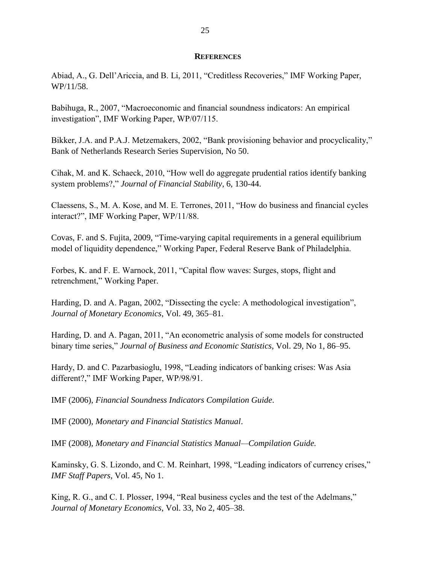#### **REFERENCES**

Abiad, A., G. Dell'Ariccia, and B. Li, 2011, "Creditless Recoveries," IMF Working Paper, WP/11/58.

Babihuga, R., 2007, "Macroeconomic and financial soundness indicators: An empirical investigation", IMF Working Paper, WP/07/115.

Bikker, J.A. and P.A.J. Metzemakers, 2002, "Bank provisioning behavior and procyclicality," Bank of Netherlands Research Series Supervision, No 50.

Cihak, M. and K. Schaeck, 2010, "How well do aggregate prudential ratios identify banking system problems?," *Journal of Financial Stability*, 6, 130-44.

Claessens, S., M. A. Kose, and M. E. Terrones, 2011, "How do business and financial cycles interact?", IMF Working Paper, WP/11/88.

Covas, F. and S. Fujita, 2009, "Time-varying capital requirements in a general equilibrium model of liquidity dependence," Working Paper, Federal Reserve Bank of Philadelphia.

Forbes, K. and F. E. Warnock, 2011, "Capital flow waves: Surges, stops, flight and retrenchment," Working Paper.

Harding, D. and A. Pagan, 2002, "Dissecting the cycle: A methodological investigation", *Journal of Monetary Economics*, Vol. 49, 365–81.

Harding, D. and A. Pagan, 2011, "An econometric analysis of some models for constructed binary time series," *Journal of Business and Economic Statistics*, Vol. 29, No 1, 86–95.

Hardy, D. and C. Pazarbasioglu, 1998, "Leading indicators of banking crises: Was Asia different?," IMF Working Paper, WP/98/91.

IMF (2006), *Financial Soundness Indicators Compilation Guide*.

IMF (2000), *Monetary and Financial Statistics Manual*.

IMF (2008), *Monetary and Financial Statistics Manual—Compilation Guide.*

Kaminsky, G. S. Lizondo, and C. M. Reinhart, 1998, "Leading indicators of currency crises," *IMF Staff Papers*, Vol. 45, No 1.

King, R. G., and C. I. Plosser, 1994, "Real business cycles and the test of the Adelmans," *Journal of Monetary Economics*, Vol. 33, No 2, 405–38.